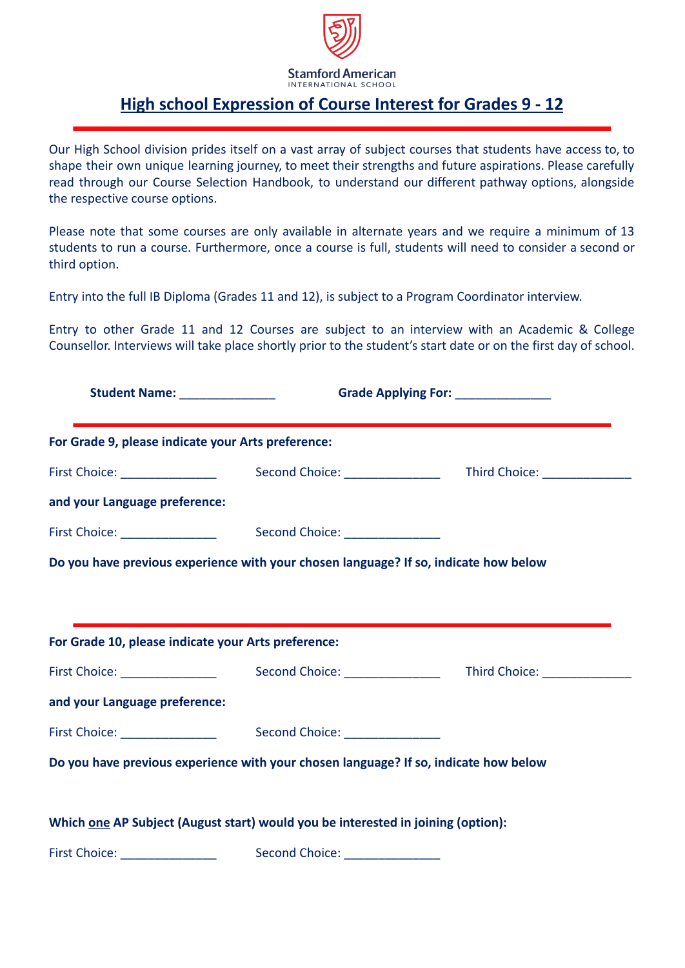

## **Stamford American** INTERNATIONAL SCHOOL

## **High school Expression of Course Interest for Grades 9 - 12**

Our High School division prides itself on a vast array of subject courses that students have access to, to shape their own unique learning journey, to meet their strengths and future aspirations. Please carefully read through our Course Selection Handbook, to understand our different pathway options, alongside the respective course options.

Please note that some courses are only available in alternate years and we require a minimum of 13 students to run a course. Furthermore, once a course is full, students will need to consider a second or third option.

Entry into the full IB Diploma (Grades 11 and 12), is subject to a Program Coordinator interview.

Entry to other Grade 11 and 12 Courses are subject to an interview with an Academic & College Counsellor. Interviews will take place shortly prior to the student's start date or on the first day of school.

| Student Name: ________________                      | Grade Applying For: _____________                                                    |  |  |  |
|-----------------------------------------------------|--------------------------------------------------------------------------------------|--|--|--|
| For Grade 9, please indicate your Arts preference:  |                                                                                      |  |  |  |
| First Choice: _________________                     |                                                                                      |  |  |  |
| and your Language preference:                       |                                                                                      |  |  |  |
|                                                     |                                                                                      |  |  |  |
|                                                     | Do you have previous experience with your chosen language? If so, indicate how below |  |  |  |
|                                                     |                                                                                      |  |  |  |
|                                                     |                                                                                      |  |  |  |
| For Grade 10, please indicate your Arts preference: |                                                                                      |  |  |  |
| First Choice: _________________                     |                                                                                      |  |  |  |
| and your Language preference:                       |                                                                                      |  |  |  |
|                                                     |                                                                                      |  |  |  |
|                                                     | Do you have previous experience with your chosen language? If so, indicate how below |  |  |  |
|                                                     |                                                                                      |  |  |  |
|                                                     | Which one AP Subject (August start) would you be interested in joining (option):     |  |  |  |
| First Choice: _________________                     | Second Choice: ________________                                                      |  |  |  |
|                                                     |                                                                                      |  |  |  |